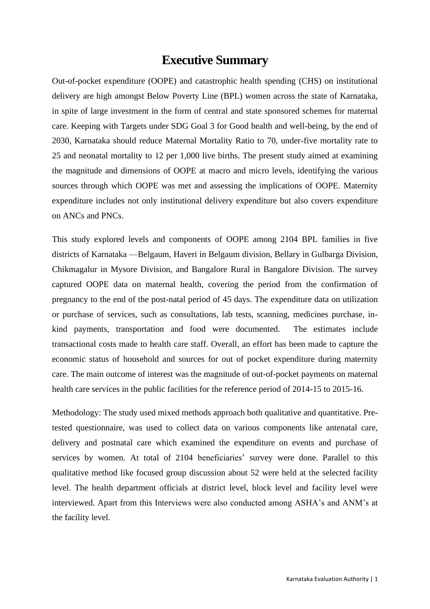## **Executive Summary**

Out-of-pocket expenditure (OOPE) and catastrophic health spending (CHS) on institutional delivery are high amongst Below Poverty Line (BPL) women across the state of Karnataka, in spite of large investment in the form of central and state sponsored schemes for maternal care. Keeping with Targets under SDG Goal 3 for Good health and well-being, by the end of 2030, Karnataka should reduce Maternal Mortality Ratio to 70, under-five mortality rate to 25 and neonatal mortality to 12 per 1,000 live births. The present study aimed at examining the magnitude and dimensions of OOPE at macro and micro levels, identifying the various sources through which OOPE was met and assessing the implications of OOPE. Maternity expenditure includes not only institutional delivery expenditure but also covers expenditure on ANCs and PNCs.

This study explored levels and components of OOPE among 2104 BPL families in five districts of Karnataka —Belgaum, Haveri in Belgaum division, Bellary in Gulbarga Division, Chikmagalur in Mysore Division, and Bangalore Rural in Bangalore Division. The survey captured OOPE data on maternal health, covering the period from the confirmation of pregnancy to the end of the post-natal period of 45 days. The expenditure data on utilization or purchase of services, such as consultations, lab tests, scanning, medicines purchase, inkind payments, transportation and food were documented. The estimates include transactional costs made to health care staff. Overall, an effort has been made to capture the economic status of household and sources for out of pocket expenditure during maternity care. The main outcome of interest was the magnitude of out-of-pocket payments on maternal health care services in the public facilities for the reference period of 2014-15 to 2015-16.

Methodology: The study used mixed methods approach both qualitative and quantitative. Pretested questionnaire, was used to collect data on various components like antenatal care, delivery and postnatal care which examined the expenditure on events and purchase of services by women. At total of 2104 beneficiaries' survey were done. Parallel to this qualitative method like focused group discussion about 52 were held at the selected facility level. The health department officials at district level, block level and facility level were interviewed. Apart from this Interviews were also conducted among ASHA's and ANM's at the facility level.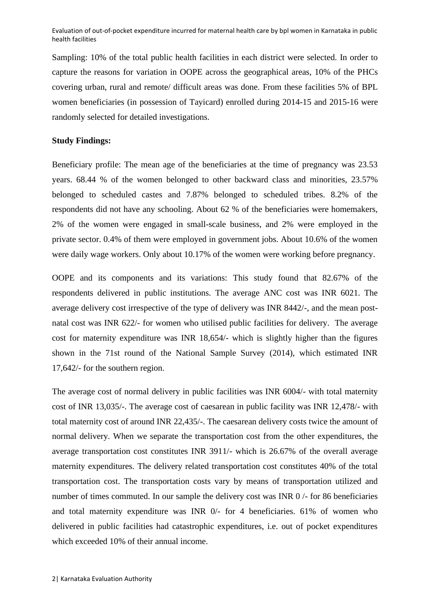Evaluation of out-of-pocket expenditure incurred for maternal health care by bpl women in Karnataka in public health facilities

Sampling: 10% of the total public health facilities in each district were selected. In order to capture the reasons for variation in OOPE across the geographical areas, 10% of the PHCs covering urban, rural and remote/ difficult areas was done. From these facilities 5% of BPL women beneficiaries (in possession of Tayicard) enrolled during 2014-15 and 2015-16 were randomly selected for detailed investigations.

## **Study Findings:**

Beneficiary profile: The mean age of the beneficiaries at the time of pregnancy was 23.53 years. 68.44 % of the women belonged to other backward class and minorities, 23.57% belonged to scheduled castes and 7.87% belonged to scheduled tribes. 8.2% of the respondents did not have any schooling. About 62 % of the beneficiaries were homemakers, 2% of the women were engaged in small-scale business, and 2% were employed in the private sector. 0.4% of them were employed in government jobs. About 10.6% of the women were daily wage workers. Only about 10.17% of the women were working before pregnancy.

OOPE and its components and its variations: This study found that 82.67% of the respondents delivered in public institutions. The average ANC cost was INR 6021. The average delivery cost irrespective of the type of delivery was INR 8442/-, and the mean postnatal cost was INR 622/- for women who utilised public facilities for delivery. The average cost for maternity expenditure was INR 18,654/- which is slightly higher than the figures shown in the 71st round of the National Sample Survey (2014), which estimated INR 17,642/- for the southern region.

The average cost of normal delivery in public facilities was INR 6004/- with total maternity cost of INR 13,035/-. The average cost of caesarean in public facility was INR 12,478/- with total maternity cost of around INR 22,435/-. The caesarean delivery costs twice the amount of normal delivery. When we separate the transportation cost from the other expenditures, the average transportation cost constitutes INR 3911/- which is 26.67% of the overall average maternity expenditures. The delivery related transportation cost constitutes 40% of the total transportation cost. The transportation costs vary by means of transportation utilized and number of times commuted. In our sample the delivery cost was INR 0 /- for 86 beneficiaries and total maternity expenditure was INR 0/- for 4 beneficiaries. 61% of women who delivered in public facilities had catastrophic expenditures, i.e. out of pocket expenditures which exceeded 10% of their annual income.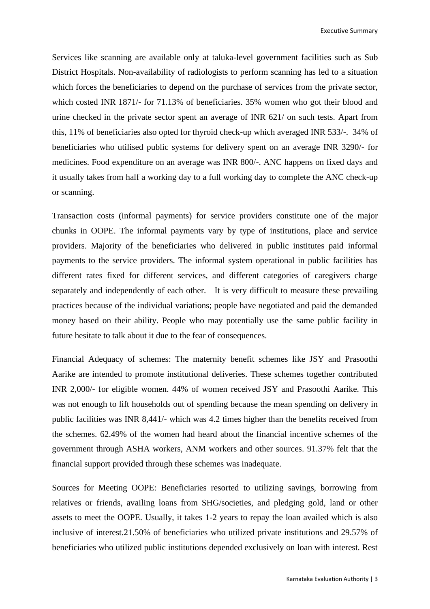Executive Summary

Services like scanning are available only at taluka-level government facilities such as Sub District Hospitals. Non-availability of radiologists to perform scanning has led to a situation which forces the beneficiaries to depend on the purchase of services from the private sector, which costed INR 1871/- for 71.13% of beneficiaries. 35% women who got their blood and urine checked in the private sector spent an average of INR 621/ on such tests. Apart from this, 11% of beneficiaries also opted for thyroid check-up which averaged INR 533/-. 34% of beneficiaries who utilised public systems for delivery spent on an average INR 3290/- for medicines. Food expenditure on an average was INR 800/-. ANC happens on fixed days and it usually takes from half a working day to a full working day to complete the ANC check-up or scanning.

Transaction costs (informal payments) for service providers constitute one of the major chunks in OOPE. The informal payments vary by type of institutions, place and service providers. Majority of the beneficiaries who delivered in public institutes paid informal payments to the service providers. The informal system operational in public facilities has different rates fixed for different services, and different categories of caregivers charge separately and independently of each other. It is very difficult to measure these prevailing practices because of the individual variations; people have negotiated and paid the demanded money based on their ability. People who may potentially use the same public facility in future hesitate to talk about it due to the fear of consequences.

Financial Adequacy of schemes: The maternity benefit schemes like JSY and Prasoothi Aarike are intended to promote institutional deliveries. These schemes together contributed INR 2,000/- for eligible women. 44% of women received JSY and Prasoothi Aarike. This was not enough to lift households out of spending because the mean spending on delivery in public facilities was INR 8,441/- which was 4.2 times higher than the benefits received from the schemes. 62.49% of the women had heard about the financial incentive schemes of the government through ASHA workers, ANM workers and other sources. 91.37% felt that the financial support provided through these schemes was inadequate.

Sources for Meeting OOPE: Beneficiaries resorted to utilizing savings, borrowing from relatives or friends, availing loans from SHG/societies, and pledging gold, land or other assets to meet the OOPE. Usually, it takes 1-2 years to repay the loan availed which is also inclusive of interest.21.50% of beneficiaries who utilized private institutions and 29.57% of beneficiaries who utilized public institutions depended exclusively on loan with interest. Rest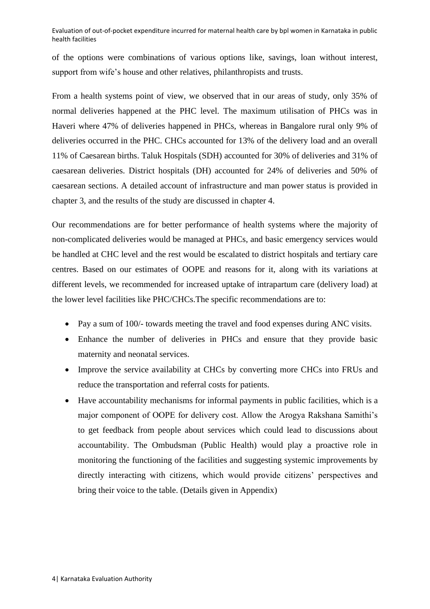Evaluation of out-of-pocket expenditure incurred for maternal health care by bpl women in Karnataka in public health facilities

of the options were combinations of various options like, savings, loan without interest, support from wife's house and other relatives, philanthropists and trusts.

From a health systems point of view, we observed that in our areas of study, only 35% of normal deliveries happened at the PHC level. The maximum utilisation of PHCs was in Haveri where 47% of deliveries happened in PHCs, whereas in Bangalore rural only 9% of deliveries occurred in the PHC. CHCs accounted for 13% of the delivery load and an overall 11% of Caesarean births. Taluk Hospitals (SDH) accounted for 30% of deliveries and 31% of caesarean deliveries. District hospitals (DH) accounted for 24% of deliveries and 50% of caesarean sections. A detailed account of infrastructure and man power status is provided in chapter 3, and the results of the study are discussed in chapter 4.

Our recommendations are for better performance of health systems where the majority of non-complicated deliveries would be managed at PHCs, and basic emergency services would be handled at CHC level and the rest would be escalated to district hospitals and tertiary care centres. Based on our estimates of OOPE and reasons for it, along with its variations at different levels, we recommended for increased uptake of intrapartum care (delivery load) at the lower level facilities like PHC/CHCs.The specific recommendations are to:

- Pay a sum of 100/- towards meeting the travel and food expenses during ANC visits.
- Enhance the number of deliveries in PHCs and ensure that they provide basic maternity and neonatal services.
- Improve the service availability at CHCs by converting more CHCs into FRUs and reduce the transportation and referral costs for patients.
- Have accountability mechanisms for informal payments in public facilities, which is a major component of OOPE for delivery cost. Allow the Arogya Rakshana Samithi's to get feedback from people about services which could lead to discussions about accountability. The Ombudsman (Public Health) would play a proactive role in monitoring the functioning of the facilities and suggesting systemic improvements by directly interacting with citizens, which would provide citizens' perspectives and bring their voice to the table. (Details given in Appendix)